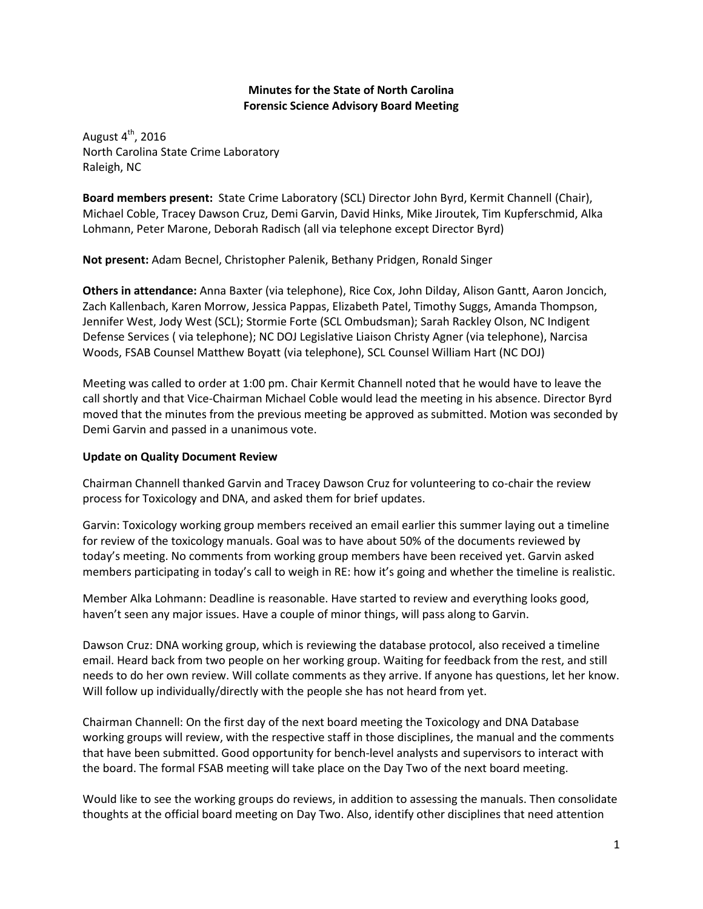## **Minutes for the State of North Carolina Forensic Science Advisory Board Meeting**

August  $4<sup>th</sup>$ , 2016 North Carolina State Crime Laboratory Raleigh, NC

**Board members present:** State Crime Laboratory (SCL) Director John Byrd, Kermit Channell (Chair), Michael Coble, Tracey Dawson Cruz, Demi Garvin, David Hinks, Mike Jiroutek, Tim Kupferschmid, Alka Lohmann, Peter Marone, Deborah Radisch (all via telephone except Director Byrd)

**Not present:** Adam Becnel, Christopher Palenik, Bethany Pridgen, Ronald Singer

**Others in attendance:** Anna Baxter (via telephone), Rice Cox, John Dilday, Alison Gantt, Aaron Joncich, Zach Kallenbach, Karen Morrow, Jessica Pappas, Elizabeth Patel, Timothy Suggs, Amanda Thompson, Jennifer West, Jody West (SCL); Stormie Forte (SCL Ombudsman); Sarah Rackley Olson, NC Indigent Defense Services ( via telephone); NC DOJ Legislative Liaison Christy Agner (via telephone), Narcisa Woods, FSAB Counsel Matthew Boyatt (via telephone), SCL Counsel William Hart (NC DOJ)

Meeting was called to order at 1:00 pm. Chair Kermit Channell noted that he would have to leave the call shortly and that Vice-Chairman Michael Coble would lead the meeting in his absence. Director Byrd moved that the minutes from the previous meeting be approved as submitted. Motion was seconded by Demi Garvin and passed in a unanimous vote.

## **Update on Quality Document Review**

Chairman Channell thanked Garvin and Tracey Dawson Cruz for volunteering to co-chair the review process for Toxicology and DNA, and asked them for brief updates.

Garvin: Toxicology working group members received an email earlier this summer laying out a timeline for review of the toxicology manuals. Goal was to have about 50% of the documents reviewed by today's meeting. No comments from working group members have been received yet. Garvin asked members participating in today's call to weigh in RE: how it's going and whether the timeline is realistic.

Member Alka Lohmann: Deadline is reasonable. Have started to review and everything looks good, haven't seen any major issues. Have a couple of minor things, will pass along to Garvin.

Dawson Cruz: DNA working group, which is reviewing the database protocol, also received a timeline email. Heard back from two people on her working group. Waiting for feedback from the rest, and still needs to do her own review. Will collate comments as they arrive. If anyone has questions, let her know. Will follow up individually/directly with the people she has not heard from yet.

Chairman Channell: On the first day of the next board meeting the Toxicology and DNA Database working groups will review, with the respective staff in those disciplines, the manual and the comments that have been submitted. Good opportunity for bench-level analysts and supervisors to interact with the board. The formal FSAB meeting will take place on the Day Two of the next board meeting.

Would like to see the working groups do reviews, in addition to assessing the manuals. Then consolidate thoughts at the official board meeting on Day Two. Also, identify other disciplines that need attention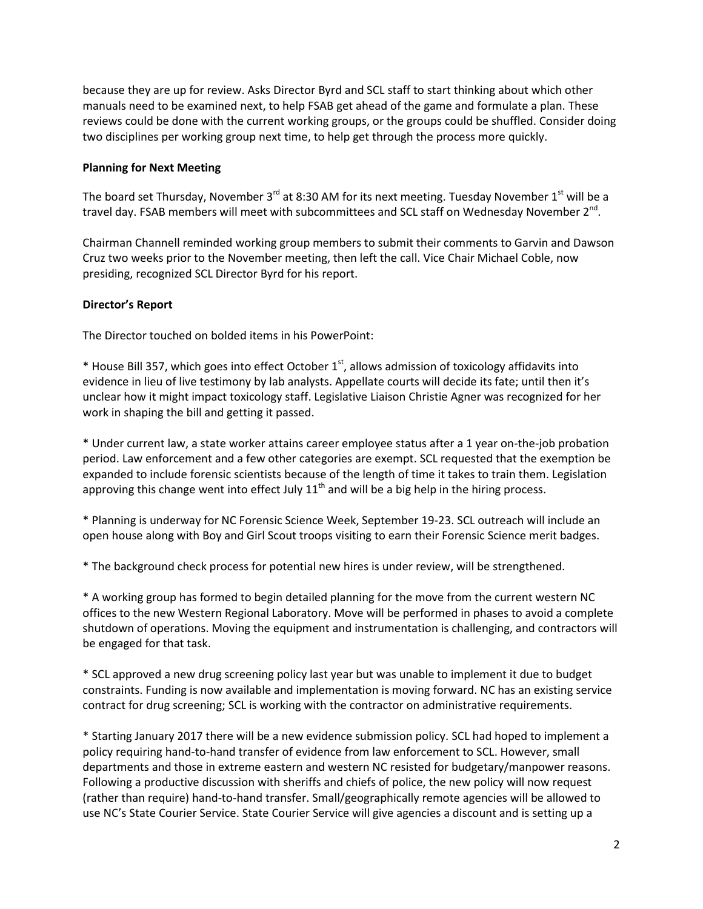because they are up for review. Asks Director Byrd and SCL staff to start thinking about which other manuals need to be examined next, to help FSAB get ahead of the game and formulate a plan. These reviews could be done with the current working groups, or the groups could be shuffled. Consider doing two disciplines per working group next time, to help get through the process more quickly.

## **Planning for Next Meeting**

The board set Thursday, November 3<sup>rd</sup> at 8:30 AM for its next meeting. Tuesday November 1<sup>st</sup> will be a travel day. FSAB members will meet with subcommittees and SCL staff on Wednesday November 2<sup>nd</sup>.

Chairman Channell reminded working group members to submit their comments to Garvin and Dawson Cruz two weeks prior to the November meeting, then left the call. Vice Chair Michael Coble, now presiding, recognized SCL Director Byrd for his report.

## **Director's Report**

The Director touched on bolded items in his PowerPoint:

 $*$  House Bill 357, which goes into effect October 1s<sup>t</sup>, allows admission of toxicology affidavits into evidence in lieu of live testimony by lab analysts. Appellate courts will decide its fate; until then it's unclear how it might impact toxicology staff. Legislative Liaison Christie Agner was recognized for her work in shaping the bill and getting it passed.

\* Under current law, a state worker attains career employee status after a 1 year on-the-job probation period. Law enforcement and a few other categories are exempt. SCL requested that the exemption be expanded to include forensic scientists because of the length of time it takes to train them. Legislation approving this change went into effect July  $11<sup>th</sup>$  and will be a big help in the hiring process.

\* Planning is underway for NC Forensic Science Week, September 19-23. SCL outreach will include an open house along with Boy and Girl Scout troops visiting to earn their Forensic Science merit badges.

\* The background check process for potential new hires is under review, will be strengthened.

\* A working group has formed to begin detailed planning for the move from the current western NC offices to the new Western Regional Laboratory. Move will be performed in phases to avoid a complete shutdown of operations. Moving the equipment and instrumentation is challenging, and contractors will be engaged for that task.

\* SCL approved a new drug screening policy last year but was unable to implement it due to budget constraints. Funding is now available and implementation is moving forward. NC has an existing service contract for drug screening; SCL is working with the contractor on administrative requirements.

\* Starting January 2017 there will be a new evidence submission policy. SCL had hoped to implement a policy requiring hand-to-hand transfer of evidence from law enforcement to SCL. However, small departments and those in extreme eastern and western NC resisted for budgetary/manpower reasons. Following a productive discussion with sheriffs and chiefs of police, the new policy will now request (rather than require) hand-to-hand transfer. Small/geographically remote agencies will be allowed to use NC's State Courier Service. State Courier Service will give agencies a discount and is setting up a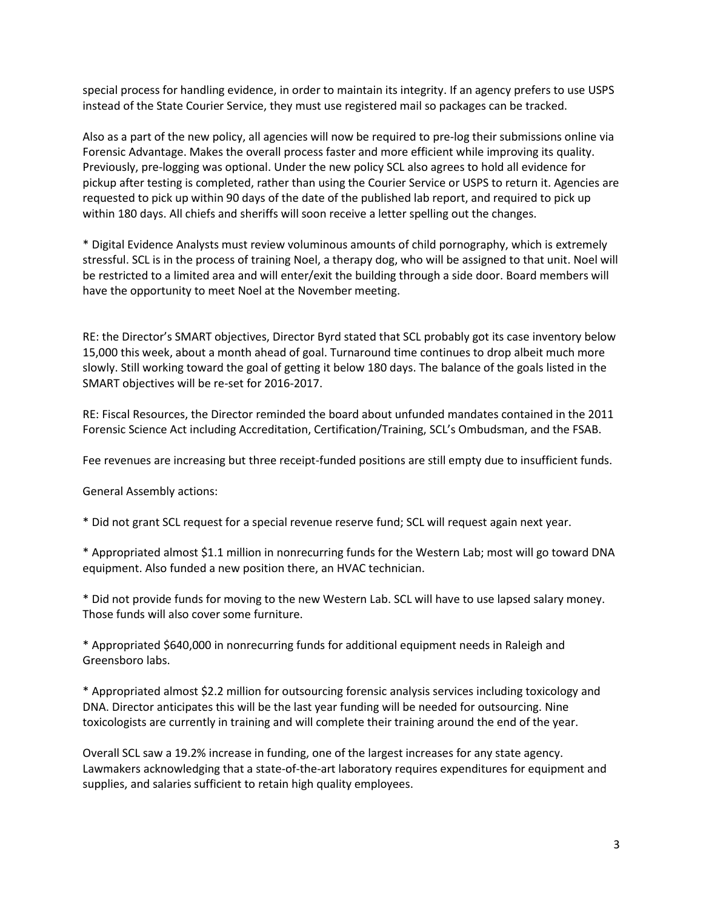special process for handling evidence, in order to maintain its integrity. If an agency prefers to use USPS instead of the State Courier Service, they must use registered mail so packages can be tracked.

Also as a part of the new policy, all agencies will now be required to pre-log their submissions online via Forensic Advantage. Makes the overall process faster and more efficient while improving its quality. Previously, pre-logging was optional. Under the new policy SCL also agrees to hold all evidence for pickup after testing is completed, rather than using the Courier Service or USPS to return it. Agencies are requested to pick up within 90 days of the date of the published lab report, and required to pick up within 180 days. All chiefs and sheriffs will soon receive a letter spelling out the changes.

\* Digital Evidence Analysts must review voluminous amounts of child pornography, which is extremely stressful. SCL is in the process of training Noel, a therapy dog, who will be assigned to that unit. Noel will be restricted to a limited area and will enter/exit the building through a side door. Board members will have the opportunity to meet Noel at the November meeting.

RE: the Director's SMART objectives, Director Byrd stated that SCL probably got its case inventory below 15,000 this week, about a month ahead of goal. Turnaround time continues to drop albeit much more slowly. Still working toward the goal of getting it below 180 days. The balance of the goals listed in the SMART objectives will be re-set for 2016-2017.

RE: Fiscal Resources, the Director reminded the board about unfunded mandates contained in the 2011 Forensic Science Act including Accreditation, Certification/Training, SCL's Ombudsman, and the FSAB.

Fee revenues are increasing but three receipt-funded positions are still empty due to insufficient funds.

General Assembly actions:

\* Did not grant SCL request for a special revenue reserve fund; SCL will request again next year.

\* Appropriated almost \$1.1 million in nonrecurring funds for the Western Lab; most will go toward DNA equipment. Also funded a new position there, an HVAC technician.

\* Did not provide funds for moving to the new Western Lab. SCL will have to use lapsed salary money. Those funds will also cover some furniture.

\* Appropriated \$640,000 in nonrecurring funds for additional equipment needs in Raleigh and Greensboro labs.

\* Appropriated almost \$2.2 million for outsourcing forensic analysis services including toxicology and DNA. Director anticipates this will be the last year funding will be needed for outsourcing. Nine toxicologists are currently in training and will complete their training around the end of the year.

Overall SCL saw a 19.2% increase in funding, one of the largest increases for any state agency. Lawmakers acknowledging that a state-of-the-art laboratory requires expenditures for equipment and supplies, and salaries sufficient to retain high quality employees.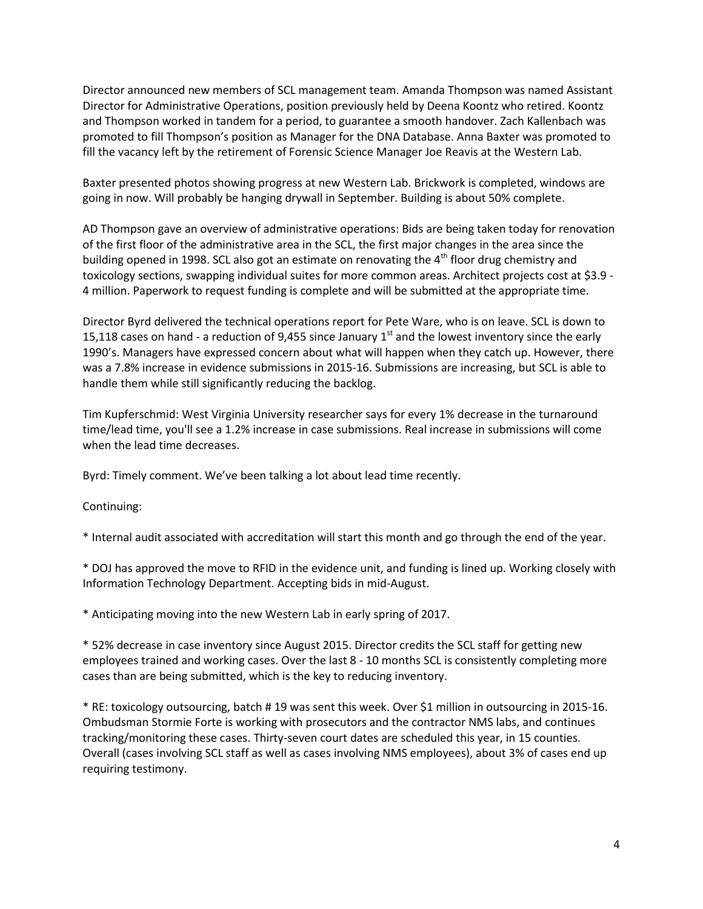Director announced new members of SCL management team. Amanda Thompson was named Assistant Director for Administrative Operations, position previously held by Deena Koontz who retired. Koontz and Thompson worked in tandem for a period, to guarantee a smooth handover. Zach Kallenbach was promoted to fill Thompson's position as Manager for the DNA Database. Anna Baxter was promoted to fill the vacancy left by the retirement of Forensic Science Manager Joe Reavis at the Western Lab.

Baxter presented photos showing progress at new Western Lab. Brickwork is completed, windows are going in now. Will probably be hanging drywall in September. Building is about 50% complete.

AD Thompson gave an overview of administrative operations: Bids are being taken today for renovation of the first floor of the administrative area in the SCL, the first major changes in the area since the building opened in 1998. SCL also got an estimate on renovating the  $4<sup>th</sup>$  floor drug chemistry and toxicology sections, swapping individual suites for more common areas. Architect projects cost at \$3.9 - 4 million. Paperwork to request funding is complete and will be submitted at the appropriate time.

Director Byrd delivered the technical operations report for Pete Ware, who is on leave. SCL is down to 15,118 cases on hand - a reduction of 9,455 since January  $1<sup>st</sup>$  and the lowest inventory since the early 1990's. Managers have expressed concern about what will happen when they catch up. However, there was a 7.8% increase in evidence submissions in 2015-16. Submissions are increasing, but SCL is able to handle them while still significantly reducing the backlog.

Tim Kupferschmid: West Virginia University researcher says for every 1% decrease in the turnaround time/lead time, you'll see a 1.2% increase in case submissions. Real increase in submissions will come when the lead time decreases.

Byrd: Timely comment. We've been talking a lot about lead time recently.

Continuing:

\* Internal audit associated with accreditation will start this month and go through the end of the year.

\* DOJ has approved the move to RFID in the evidence unit, and funding is lined up. Working closely with Information Technology Department. Accepting bids in mid-August.

\* Anticipating moving into the new Western Lab in early spring of 2017.

\* 52% decrease in case inventory since August 2015. Director credits the SCL staff for getting new employees trained and working cases. Over the last 8 - 10 months SCL is consistently completing more cases than are being submitted, which is the key to reducing inventory.

\* RE: toxicology outsourcing, batch # 19 was sent this week. Over \$1 million in outsourcing in 2015-16. Ombudsman Stormie Forte is working with prosecutors and the contractor NMS labs, and continues tracking/monitoring these cases. Thirty-seven court dates are scheduled this year, in 15 counties. Overall (cases involving SCL staff as well as cases involving NMS employees), about 3% of cases end up requiring testimony.